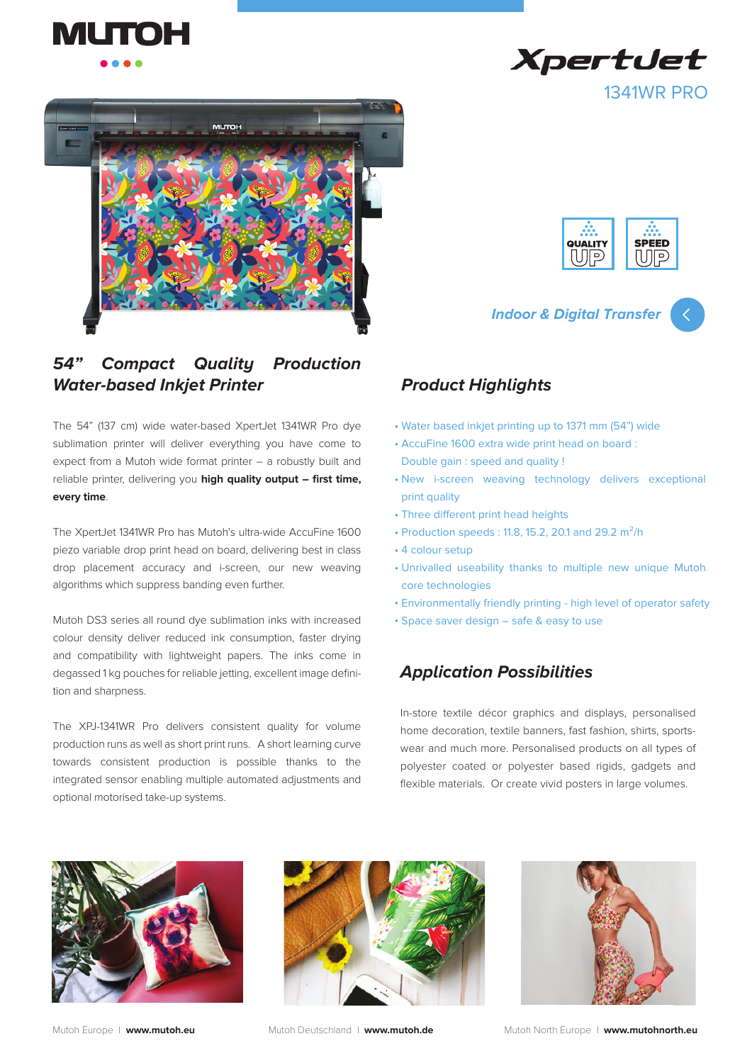



#### *54" Compact Quality Production Water-based Inkjet Printer*

The 54" (137 cm) wide water-based XpertJet 1341WR Pro dye sublimation printer will deliver everything you have come to expect from a Mutoh wide format printer – a robustly built and reliable printer, delivering you **high quality output – first time, every time**.

The XpertJet 1341WR Pro has Mutoh's ultra-wide AccuFine 1600 piezo variable drop print head on board, delivering best in class drop placement accuracy and i-screen, our new weaving algorithms which suppress banding even further.

Mutoh DS3 series all round dye sublimation inks with increased colour density deliver reduced ink consumption, faster drying and compatibility with lightweight papers. The inks come in degassed 1 kg pouches for reliable jetting, excellent image definition and sharpness.

The XPJ-1341WR Pro delivers consistent quality for volume production runs as well as short print runs. A short learning curve towards consistent production is possible thanks to the integrated sensor enabling multiple automated adjustments and optional motorised take-up systems.





**Indoor & Digital Transfer**



#### *Product Highlights*

- Water based inkjet printing up to 1371 mm (54") wide •
- AccuFine 1600 extra wide print head on board : Double gain : speed and quality !
- New i-screen weaving technology delivers exceptional print quality
- Three different print head heights
- Production speeds:  $11.8, 15.2, 20.1$  and  $29.2 \text{ m}^2/\text{h}$
- 4 colour setup
- Unrivalled useability thanks to multiple new unique Mutoh core technologies
- Environmentally friendly printing high level of operator safety •
- Space saver design safe & easy to use

## *Application Possibilities*

In-store textile décor graphics and displays, personalised home decoration, textile banners, fast fashion, shirts, sportswear and much more. Personalised products on all types of polyester coated or polyester based rigids, gadgets and flexible materials. Or create vivid posters in large volumes.